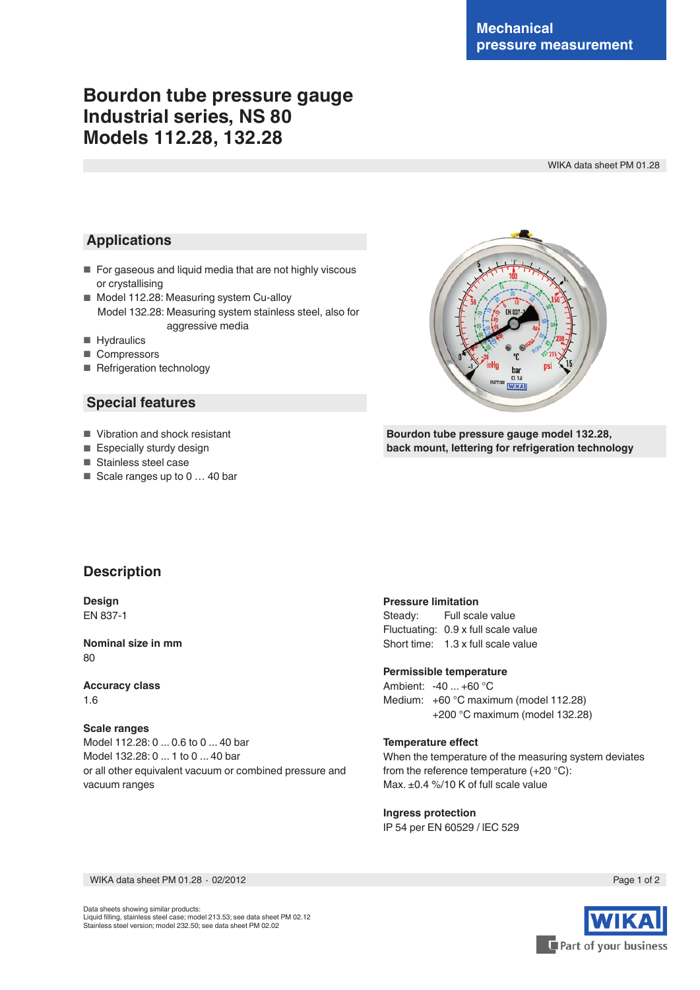# **Bourdon tube pressure gauge Industrial series, NS 80 Models 112.28, 132.28**

WIKA data sheet PM 01.28

## **Applications**

- For gaseous and liquid media that are not highly viscous or crystallising
- Model 112.28: Measuring system Cu-alloy Model 132.28: Measuring system stainless steel, also for aggressive media
- Hydraulics
- Compressors
- Refrigeration technology

### **Special features**

- Vibration and shock resistant
- Especially sturdy design
- Stainless steel case
- Scale ranges up to 0 ... 40 bar

ha  $0.14$ 

**Bourdon tube pressure gauge model 132.28, back mount, lettering for refrigeration technology**

### **Description**

**Design** EN 837-1

**Nominal size in mm** 80

**Accuracy class** 1.6

#### **Scale ranges**

Model 112.28: 0 ... 0.6 to 0 ... 40 bar Model 132.28: 0 ... 1 to 0 ... 40 bar or all other equivalent vacuum or combined pressure and vacuum ranges

#### **Pressure limitation**

Steady: Full scale value Fluctuating: 0.9 x full scale value Short time: 1.3 x full scale value

#### **Permissible temperature**

Ambient: -40 ... +60 °C Medium: +60 °C maximum (model 112.28) +200 °C maximum (model 132.28)

#### **Temperature effect**

When the temperature of the measuring system deviates from the reference temperature (+20 °C): Max. ±0.4 %/10 K of full scale value

**Ingress protection** IP 54 per EN 60529 / lEC 529

WIKA data sheet PM 01.28 ⋅ 02/2012 Page 1 of 2

Data sheets showing similar products: Liquid filling, stainless steel case; model 213.53; see data sheet PM 02.12 Stainless steel version; model 232.50; see data sheet PM 02.02

Part of your business